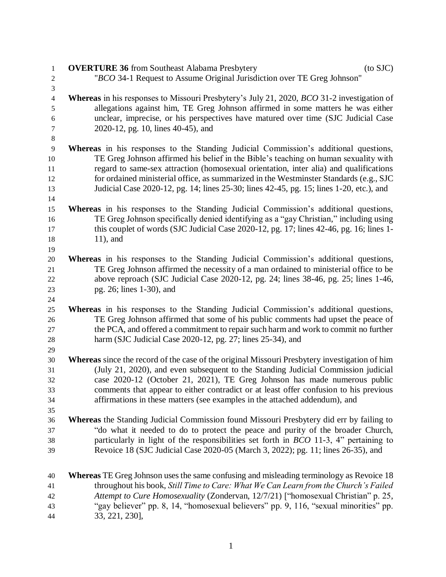| 1                       | $(to$ SJC $)$<br><b>OVERTURE 36</b> from Southeast Alabama Presbytery                                    |
|-------------------------|----------------------------------------------------------------------------------------------------------|
| $\overline{\mathbf{c}}$ | "BCO 34-1 Request to Assume Original Jurisdiction over TE Greg Johnson"                                  |
| 3                       |                                                                                                          |
| $\overline{4}$          | <b>Whereas</b> in his responses to Missouri Presbytery's July 21, 2020, <i>BCO</i> 31-2 investigation of |
| 5                       | allegations against him, TE Greg Johnson affirmed in some matters he was either                          |
| 6                       | unclear, imprecise, or his perspectives have matured over time (SJC Judicial Case                        |
| 7                       | 2020-12, pg. 10, lines 40-45), and                                                                       |
| 8                       |                                                                                                          |
| $\overline{9}$          | Whereas in his responses to the Standing Judicial Commission's additional questions,                     |
| 10                      | TE Greg Johnson affirmed his belief in the Bible's teaching on human sexuality with                      |
| 11                      | regard to same-sex attraction (homosexual orientation, inter alia) and qualifications                    |
| 12                      | for ordained ministerial office, as summarized in the Westminster Standards (e.g., SJC                   |
| 13                      | Judicial Case 2020-12, pg. 14; lines 25-30; lines 42-45, pg. 15; lines 1-20, etc.), and                  |
| 14                      |                                                                                                          |
| 15                      | Whereas in his responses to the Standing Judicial Commission's additional questions,                     |
| 16                      | TE Greg Johnson specifically denied identifying as a "gay Christian," including using                    |
| 17                      | this couplet of words (SJC Judicial Case 2020-12, pg. 17; lines 42-46, pg. 16; lines 1-                  |
| 18                      | $11$ , and                                                                                               |
| 19                      |                                                                                                          |
| 20                      | <b>Whereas</b> in his responses to the Standing Judicial Commission's additional questions,              |
| 21                      | TE Greg Johnson affirmed the necessity of a man ordained to ministerial office to be                     |
| 22                      | above reproach (SJC Judicial Case 2020-12, pg. 24; lines 38-46, pg. 25; lines 1-46,                      |
| 23<br>24                | pg. 26; lines 1-30), and                                                                                 |
| 25                      | Whereas in his responses to the Standing Judicial Commission's additional questions,                     |
| 26                      | TE Greg Johnson affirmed that some of his public comments had upset the peace of                         |
| 27                      | the PCA, and offered a commitment to repair such harm and work to commit no further                      |
| 28                      | harm (SJC Judicial Case 2020-12, pg. 27; lines 25-34), and                                               |
| 29                      |                                                                                                          |
| 30                      | <b>Whereas</b> since the record of the case of the original Missouri Presbytery investigation of him     |
| 31                      | (July 21, 2020), and even subsequent to the Standing Judicial Commission judicial                        |
| 32                      | case 2020-12 (October 21, 2021), TE Greg Johnson has made numerous public                                |
| 33                      | comments that appear to either contradict or at least offer confusion to his previous                    |
| 34                      | affirmations in these matters (see examples in the attached addendum), and                               |
| 35                      |                                                                                                          |
| 36                      | <b>Whereas</b> the Standing Judicial Commission found Missouri Presbytery did err by failing to          |
| 37                      | "do what it needed to do to protect the peace and purity of the broader Church,                          |
| 38                      | particularly in light of the responsibilities set forth in $BCO$ 11-3, 4" pertaining to                  |
| 39                      | Revoice 18 (SJC Judicial Case 2020-05 (March 3, 2022); pg. 11; lines 26-35), and                         |
| 40                      | <b>Whereas</b> TE Greg Johnson uses the same confusing and misleading terminology as Revoice 18          |
| 41                      | throughout his book, Still Time to Care: What We Can Learn from the Church's Failed                      |
| 42                      | Attempt to Cure Homosexuality (Zondervan, 12/7/21) ["homosexual Christian" p. 25,                        |
| 43                      | "gay believer" pp. 8, 14, "homosexual believers" pp. 9, 116, "sexual minorities" pp.                     |
| $44\,$                  | 33, 221, 230],                                                                                           |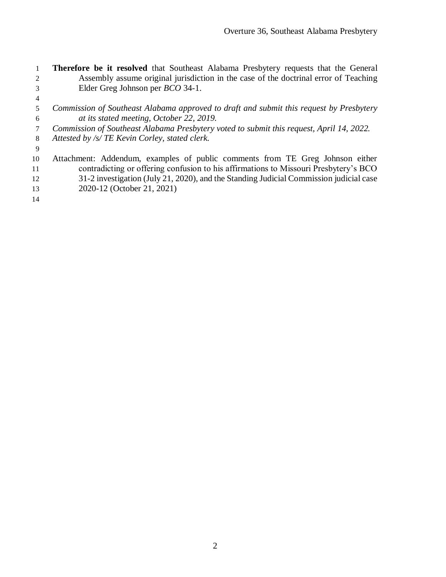- **Therefore be it resolved** that Southeast Alabama Presbytery requests that the General Assembly assume original jurisdiction in the case of the doctrinal error of Teaching Elder Greg Johnson per *BCO* 34-1.
- 
- *Commission of Southeast Alabama approved to draft and submit this request by Presbytery at its stated meeting, October 22, 2019.*
- *Commission of Southeast Alabama Presbytery voted to submit this request, April 14, 2022.*
- *Attested by /s/ TE Kevin Corley, stated clerk.*
- 

 Attachment: Addendum, examples of public comments from TE Greg Johnson either contradicting or offering confusion to his affirmations to Missouri Presbytery's BCO 31-2 investigation (July 21, 2020), and the Standing Judicial Commission judicial case 2020-12 (October 21, 2021)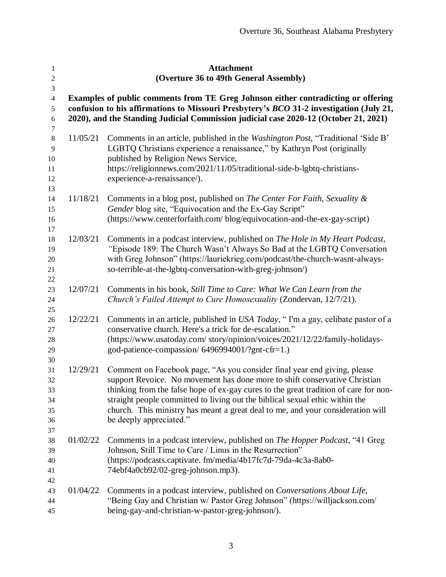| $\mathbf{1}$<br>$\sqrt{2}$   |                                                                                                                                                                              | <b>Attachment</b><br>(Overture 36 to 49th General Assembly)                                                                                                |  |  |
|------------------------------|------------------------------------------------------------------------------------------------------------------------------------------------------------------------------|------------------------------------------------------------------------------------------------------------------------------------------------------------|--|--|
| $\mathfrak{Z}$               |                                                                                                                                                                              |                                                                                                                                                            |  |  |
| $\overline{4}$<br>$\sqrt{5}$ | Examples of public comments from TE Greg Johnson either contradicting or offering<br>confusion to his affirmations to Missouri Presbytery's BCO 31-2 investigation (July 21, |                                                                                                                                                            |  |  |
| $\sqrt{6}$                   |                                                                                                                                                                              | 2020), and the Standing Judicial Commission judicial case 2020-12 (October 21, 2021)                                                                       |  |  |
| 7                            |                                                                                                                                                                              |                                                                                                                                                            |  |  |
| $\,8\,$<br>9                 | 11/05/21                                                                                                                                                                     | Comments in an article, published in the Washington Post, "Traditional 'Side B'<br>LGBTQ Christians experience a renaissance," by Kathryn Post (originally |  |  |
| 10                           |                                                                                                                                                                              | published by Religion News Service,                                                                                                                        |  |  |
| 11                           |                                                                                                                                                                              | https://religionnews.com/2021/11/05/traditional-side-b-lgbtq-christians-                                                                                   |  |  |
| 12                           |                                                                                                                                                                              | experience-a-renaissance/).                                                                                                                                |  |  |
| 13                           |                                                                                                                                                                              |                                                                                                                                                            |  |  |
| 14                           | 11/18/21                                                                                                                                                                     | Comments in a blog post, published on <i>The Center For Faith</i> , Sexuality &                                                                            |  |  |
| 15                           |                                                                                                                                                                              | Gender blog site, "Equivocation and the Ex-Gay Script"                                                                                                     |  |  |
| 16<br>17                     |                                                                                                                                                                              | (https://www.centerforfaith.com/ blog/equivocation-and-the-ex-gay-script)                                                                                  |  |  |
| 18                           | 12/03/21                                                                                                                                                                     | Comments in a podcast interview, published on The Hole in My Heart Podcast,                                                                                |  |  |
| 19                           |                                                                                                                                                                              | "Episode 189: The Church Wasn't Always So Bad at the LGBTQ Conversation                                                                                    |  |  |
| $20\,$                       |                                                                                                                                                                              | with Greg Johnson" (https://lauriekrieg.com/podcast/the-church-wasnt-always-                                                                               |  |  |
| 21                           |                                                                                                                                                                              | so-terrible-at-the-lgbtq-conversation-with-greg-johnson/)                                                                                                  |  |  |
| $22\,$                       |                                                                                                                                                                              |                                                                                                                                                            |  |  |
| 23                           | 12/07/21                                                                                                                                                                     | Comments in his book, Still Time to Care: What We Can Learn from the                                                                                       |  |  |
| 24                           |                                                                                                                                                                              | Church's Failed Attempt to Cure Homosexuality (Zondervan, 12/7/21).                                                                                        |  |  |
| 25                           |                                                                                                                                                                              |                                                                                                                                                            |  |  |
| 26<br>27                     | 12/22/21                                                                                                                                                                     | Comments in an article, published in USA Today, "I'm a gay, celibate pastor of a<br>conservative church. Here's a trick for de-escalation."                |  |  |
| $28\,$                       |                                                                                                                                                                              | (https://www.usatoday.com/story/opinion/voices/2021/12/22/family-holidays-                                                                                 |  |  |
| 29                           |                                                                                                                                                                              | god-patience-compassion/6496994001/?gnt-cfr=1.)                                                                                                            |  |  |
| 30                           |                                                                                                                                                                              |                                                                                                                                                            |  |  |
| 31                           | 12/29/21                                                                                                                                                                     | Comment on Facebook page, "As you consider final year end giving, please                                                                                   |  |  |
| 32                           |                                                                                                                                                                              | support Revoice. No movement has done more to shift conservative Christian                                                                                 |  |  |
| 33                           |                                                                                                                                                                              | thinking from the false hope of ex-gay cures to the great tradition of care for non-                                                                       |  |  |
| 34                           |                                                                                                                                                                              | straight people committed to living out the biblical sexual ethic within the                                                                               |  |  |
| 35                           |                                                                                                                                                                              | church. This ministry has meant a great deal to me, and your consideration will                                                                            |  |  |
| 36                           |                                                                                                                                                                              | be deeply appreciated."                                                                                                                                    |  |  |
| 37<br>38                     | 01/02/22                                                                                                                                                                     | Comments in a podcast interview, published on <i>The Hopper Podcast</i> , "41 Greg                                                                         |  |  |
| 39                           |                                                                                                                                                                              | Johnson, Still Time to Care / Linus in the Resurrection"                                                                                                   |  |  |
| 40                           |                                                                                                                                                                              | (https://podcasts.captivate.fm/media/4b17fc7d-79da-4c3a-8ab0-                                                                                              |  |  |
| 41                           |                                                                                                                                                                              | 74ebf4a0cb92/02-greg-johnson.mp3).                                                                                                                         |  |  |
| 42                           |                                                                                                                                                                              |                                                                                                                                                            |  |  |
| 43                           | 01/04/22                                                                                                                                                                     | Comments in a podcast interview, published on <i>Conversations About Life</i> ,                                                                            |  |  |
| 44                           |                                                                                                                                                                              | "Being Gay and Christian w/ Pastor Greg Johnson" (https://willjackson.com/                                                                                 |  |  |
| 45                           |                                                                                                                                                                              | being-gay-and-christian-w-pastor-greg-johnson/).                                                                                                           |  |  |